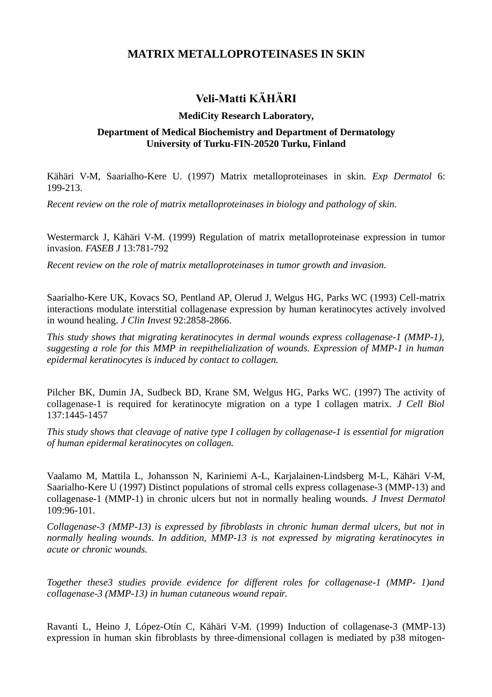## **MATRIX METALLOPROTEINASES IN SKIN**

## **Veli-Matti KÄHÄRI**

## **MediCity Research Laboratory,**

## **Department of Medical Biochemistry and Department of Dermatology University of Turku-FIN-20520 Turku, Finland**

Kähäri V-M, Saarialho-Kere U. (1997) Matrix metalloproteinases in skin. *Exp Dermatol* 6: 199-213.

*Recent review on the role of matrix metalloproteinases in biology and pathology of skin.*

Westermarck J, Kähäri V-M. (1999) Regulation of matrix metalloproteinase expression in tumor invasion. *FASEB J* 13:781-792

*Recent review on the role of matrix metalloproteinases in tumor growth and invasion.*

Saarialho-Kere UK, Kovacs SO, Pentland AP, Olerud J, Welgus HG, Parks WC (1993) Cell-matrix interactions modulate interstitial collagenase expression by human keratinocytes actively involved in wound healing. *J Clin Invest* 92:2858-2866.

*This study shows that migrating keratinocytes in dermal wounds express collagenase-1 (MMP-1), suggesting a role for this MMP in reepithelialization of wounds. Expression of MMP-1 in human epidermal keratinocytes is induced by contact to collagen.*

Pilcher BK, Dumin JA, Sudbeck BD, Krane SM, Welgus HG, Parks WC. (1997) The activity of collagenase-1 is required for keratinocyte migration on a type I collagen matrix. *J Cell Biol* 137:1445-1457

*This study shows that cleavage of native type I collagen by collagenase-1 is essential for migration of human epidermal keratinocytes on collagen.*

Vaalamo M, Mattila L, Johansson N, Kariniemi A-L, Karjalainen-Lindsberg M-L, Kähäri V-M, Saarialho-Kere U (1997) Distinct populations of stromal cells express collagenase-3 (MMP-13) and collagenase-1 (MMP-1) in chronic ulcers but not in normally healing wounds. *J Invest Dermatol* 109:96-101.

*Collagenase-3 (MMP-13) is expressed by fibroblasts in chronic human dermal ulcers, but not in normally healing wounds. In addition, MMP-13 is not expressed by migrating keratinocytes in acute or chronic wounds.*

*Together these3 studies provide evidence for different roles for collagenase-1 (MMP- 1)and collagenase-3 (MMP-13) in human cutaneous wound repair.*

Ravanti L, Heino J, López-Otín C, Kähäri V-M. (1999) Induction of collagenase-3 (MMP-13) expression in human skin fibroblasts by three-dimensional collagen is mediated by p38 mitogen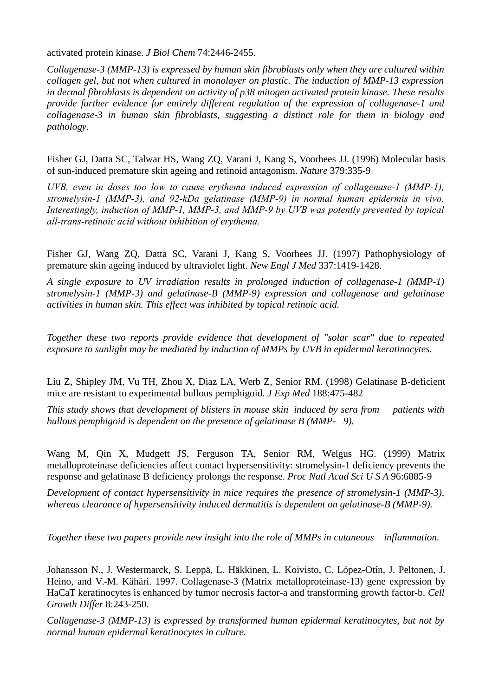activated protein kinase. *J Biol Chem* 74:2446-2455.

*Collagenase-3 (MMP-13) is expressed by human skin fibroblasts only when they are cultured within collagen gel, but not when cultured in monolayer on plastic. The induction of MMP-13 expression in dermal fibroblasts is dependent on activity of p38 mitogen activated protein kinase. These results provide further evidence for entirely different regulation of the expression of collagenase-1 and collagenase-3 in human skin fibroblasts, suggesting a distinct role for them in biology and pathology.*

Fisher GJ, Datta SC, Talwar HS, Wang ZQ, Varani J, Kang S, Voorhees JJ. (1996) Molecular basis of sun-induced premature skin ageing and retinoid antagonism. *Nature* 379:335-9

*UVB, even in doses too low to cause erythema induced expression of collagenase-1 (MMP-1), stromelysin-1 (MMP-3), and 92-kDa gelatinase (MMP-9) in normal human epidermis in vivo. Interestingly, induction of MMP-1, MMP-3, and MMP-9 by UVB was potently prevented by topical all-trans-retinoic acid without inhibition of erythema.*

Fisher GJ, Wang ZQ, Datta SC, Varani J, Kang S, Voorhees JJ. (1997) Pathophysiology of premature skin ageing induced by ultraviolet light. *New Engl J Med* 337:1419-1428.

*A single exposure to UV irradiation results in prolonged induction of collagenase-1 (MMP-1) stromelysin-1 (MMP-3) and gelatinase-B (MMP-9) expression and collagenase and gelatinase activities in human skin. This effect was inhibited by topical retinoic acid.* 

*Together these two reports provide evidence that development of "solar scar" due to repeated exposure to sunlight may be mediated by induction of MMPs by UVB in epidermal keratinocytes.* 

Liu Z, Shipley JM, Vu TH, Zhou X, Diaz LA, Werb Z, Senior RM. (1998) Gelatinase B-deficient mice are resistant to experimental bullous pemphigoid. *J Exp Med* 188:475-482

*This study shows that development of blisters in mouse skin induced by sera from patients with bullous pemphigoid is dependent on the presence of gelatinase B (MMP- 9).*

Wang M, Qin X, Mudgett JS, Ferguson TA, Senior RM, Welgus HG. (1999) Matrix metalloproteinase deficiencies affect contact hypersensitivity: stromelysin-1 deficiency prevents the response and gelatinase B deficiency prolongs the response. *Proc Natl Acad Sci U S A* 96:6885-9

*Development of contact hypersensitivity in mice requires the presence of stromelysin-1 (MMP-3), whereas clearance of hypersensitivity induced dermatitis is dependent on gelatinase-B (MMP-9).* 

*Together these two papers provide new insight into the role of MMPs in cutaneous inflammation.*

Johansson N., J. Westermarck, S. Leppä, L. Häkkinen, L. Koivisto, C. López-Otín, J. Peltonen, J. Heino, and V.-M. Kähäri. 1997. Collagenase-3 (Matrix metalloproteinase-13) gene expression by HaCaT keratinocytes is enhanced by tumor necrosis factor-a and transforming growth factor-b. *Cell Growth Differ* 8:243-250.

*Collagenase-3 (MMP-13) is expressed by transformed human epidermal keratinocytes, but not by normal human epidermal keratinocytes in culture.*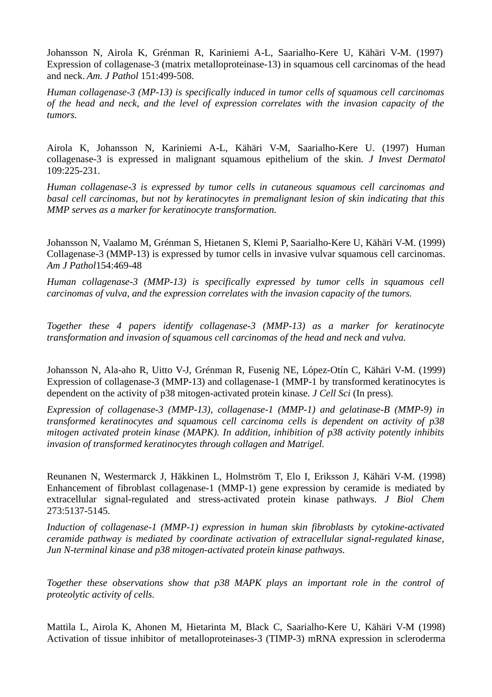Johansson N, Airola K, Grénman R, Kariniemi A-L, Saarialho-Kere U, Kähäri V-M. (1997) Expression of collagenase-3 (matrix metalloproteinase-13) in squamous cell carcinomas of the head and neck. *Am. J Pathol* 151:499-508.

*Human collagenase-3 (MP-13) is specifically induced in tumor cells of squamous cell carcinomas of the head and neck, and the level of expression correlates with the invasion capacity of the tumors.*

Airola K, Johansson N, Kariniemi A-L, Kähäri V-M, Saarialho-Kere U. (1997) Human collagenase-3 is expressed in malignant squamous epithelium of the skin. *J Invest Dermatol* 109:225-231.

*Human collagenase-3 is expressed by tumor cells in cutaneous squamous cell carcinomas and basal cell carcinomas, but not by keratinocytes in premalignant lesion of skin indicating that this MMP serves as a marker for keratinocyte transformation.* 

Johansson N, Vaalamo M, Grénman S, Hietanen S, Klemi P, Saarialho-Kere U, Kähäri V-M. (1999) Collagenase-3 (MMP-13) is expressed by tumor cells in invasive vulvar squamous cell carcinomas. *Am J Pathol*154:469-48

*Human collagenase-3 (MMP-13) is specifically expressed by tumor cells in squamous cell carcinomas of vulva, and the expression correlates with the invasion capacity of the tumors.*

*Together these 4 papers identify collagenase-3 (MMP-13) as a marker for keratinocyte transformation and invasion of squamous cell carcinomas of the head and neck and vulva.*

Johansson N, Ala-aho R, Uitto V-J, Grénman R, Fusenig NE, López-Otín C, Kähäri V-M. (1999) Expression of collagenase-3 (MMP-13) and collagenase-1 (MMP-1 by transformed keratinocytes is dependent on the activity of p38 mitogen-activated protein kinase. *J Cell Sci* (In press).

*Expression of collagenase-3 (MMP-13), collagenase-1 (MMP-1) and gelatinase-B (MMP-9) in transformed keratinocytes and squamous cell carcinoma cells is dependent on activity of p38 mitogen activated protein kinase (MAPK). In addition, inhibition of p38 activity potently inhibits invasion of transformed keratinocytes through collagen and Matrigel.*

Reunanen N, Westermarck J, Häkkinen L, Holmström T, Elo I, Eriksson J, Kähäri V-M. (1998) Enhancement of fibroblast collagenase-1 (MMP-1) gene expression by ceramide is mediated by extracellular signal-regulated and stress-activated protein kinase pathways. *J Biol Chem* 273:5137-5145.

*Induction of collagenase-1 (MMP-1) expression in human skin fibroblasts by cytokine-activated ceramide pathway is mediated by coordinate activation of extracellular signal-regulated kinase, Jun N-terminal kinase and p38 mitogen-activated protein kinase pathways.*

*Together these observations show that p38 MAPK plays an important role in the control of proteolytic activity of cells.*

Mattila L, Airola K, Ahonen M, Hietarinta M, Black C, Saarialho-Kere U, Kähäri V-M (1998) Activation of tissue inhibitor of metalloproteinases-3 (TIMP-3) mRNA expression in scleroderma